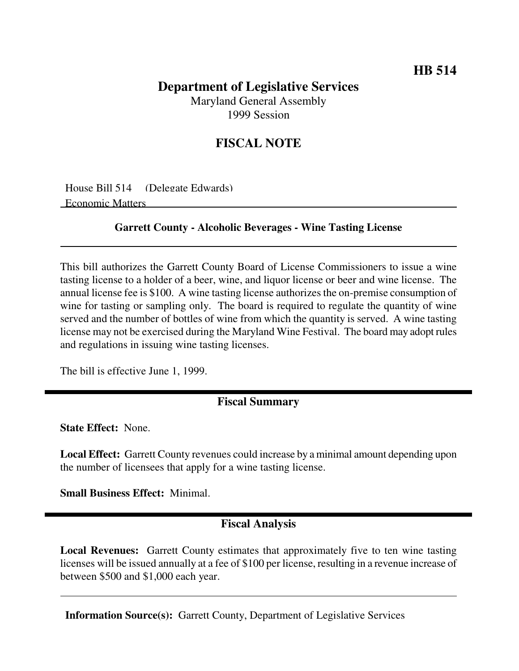# **Department of Legislative Services**

Maryland General Assembly 1999 Session

## **FISCAL NOTE**

House Bill 514 (Delegate Edwards) Economic Matters

#### **Garrett County - Alcoholic Beverages - Wine Tasting License**

This bill authorizes the Garrett County Board of License Commissioners to issue a wine tasting license to a holder of a beer, wine, and liquor license or beer and wine license. The annual license fee is \$100. A wine tasting license authorizes the on-premise consumption of wine for tasting or sampling only. The board is required to regulate the quantity of wine served and the number of bottles of wine from which the quantity is served. A wine tasting license may not be exercised during the Maryland Wine Festival. The board may adopt rules and regulations in issuing wine tasting licenses.

The bill is effective June 1, 1999.

#### **Fiscal Summary**

**State Effect:** None.

**Local Effect:** Garrett County revenues could increase by a minimal amount depending upon the number of licensees that apply for a wine tasting license.

**Small Business Effect:** Minimal.

### **Fiscal Analysis**

**Local Revenues:** Garrett County estimates that approximately five to ten wine tasting licenses will be issued annually at a fee of \$100 per license, resulting in a revenue increase of between \$500 and \$1,000 each year.

**Information Source(s):** Garrett County, Department of Legislative Services